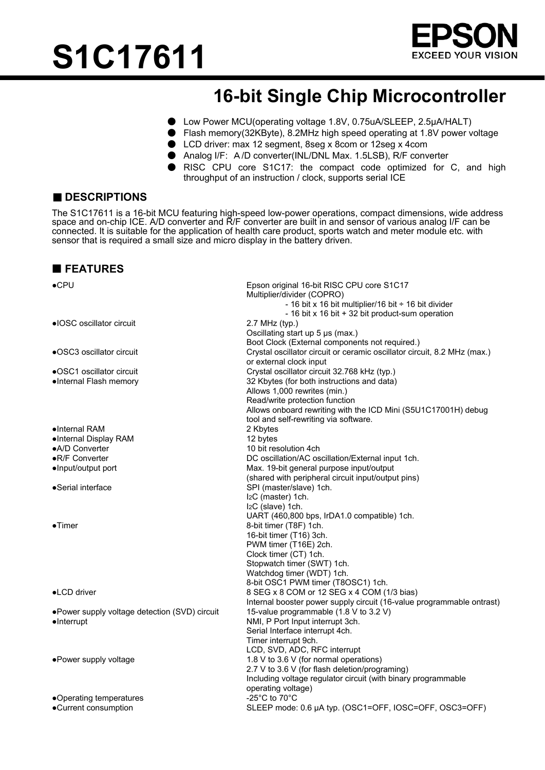



# **16-bit Single Chip Microcontroller**

- Low Power MCU(operating voltage 1.8V, 0.75uA/SLEEP, 2.5μA/HALT)
- Flash memory(32KByte), 8.2MHz high speed operating at 1.8V power voltage
- LCD driver: max 12 segment, 8seg x 8com or 12seg x 4com
- Analog I/F: A/D converter(INL/DNL Max. 1.5LSB), R/F converter
- RISC CPU core S1C17: the compact code optimized for C, and high throughput of an instruction / clock, supports serial ICE

# ■ **DESCRIPTIONS**

The S1C17611 is a 16-bit MCU featuring high-speed low-power operations, compact dimensions, wide address space and on-chip ICE. A/D converter and R/F converter are built in and sensor of various analog I/F can be connected. It is suitable for the application of health care product, sports watch and meter module etc. with sensor that is required a small size and micro display in the battery driven.

#### **FEATURES**

| $\bullet$ CPU                                  | Epson original 16-bit RISC CPU core S1C17<br>Multiplier/divider (COPRO)                                       |
|------------------------------------------------|---------------------------------------------------------------------------------------------------------------|
|                                                | - 16 bit x 16 bit multiplier/16 bit $\div$ 16 bit divider<br>- 16 bit x 16 bit + 32 bit product-sum operation |
| • IOSC oscillator circuit                      | 2.7 MHz (typ.)<br>Oscillating start up 5 µs (max.)<br>Boot Clock (External components not required.)          |
| •OSC3 oscillator circuit                       | Crystal oscillator circuit or ceramic oscillator circuit, 8.2 MHz (max.)<br>or external clock input           |
| •OSC1 oscillator circuit                       | Crystal oscillator circuit 32.768 kHz (typ.)                                                                  |
| ·Internal Flash memory                         | 32 Kbytes (for both instructions and data)<br>Allows 1,000 rewrites (min.)                                    |
|                                                | Read/write protection function<br>Allows onboard rewriting with the ICD Mini (S5U1C17001H) debug              |
|                                                | tool and self-rewriting via software.                                                                         |
| $\bullet$ Internal RAM                         | 2 Kbytes                                                                                                      |
| ·Internal Display RAM                          | 12 bytes                                                                                                      |
| •A/D Converter                                 | 10 bit resolution 4ch                                                                                         |
| •R/F Converter                                 | DC oscillation/AC oscillation/External input 1ch.                                                             |
| •Input/output port                             | Max. 19-bit general purpose input/output<br>(shared with peripheral circuit input/output pins)                |
| •Serial interface                              | SPI (master/slave) 1ch.                                                                                       |
|                                                | I <sub>2</sub> C (master) 1ch.                                                                                |
|                                                | I <sub>2</sub> C (slave) 1ch.                                                                                 |
|                                                | UART (460,800 bps, IrDA1.0 compatible) 1ch.                                                                   |
| $\bullet$ Timer                                | 8-bit timer (T8F) 1ch.                                                                                        |
|                                                | 16-bit timer (T16) 3ch.                                                                                       |
|                                                | PWM timer (T16E) 2ch.                                                                                         |
|                                                | Clock timer (CT) 1ch.                                                                                         |
|                                                | Stopwatch timer (SWT) 1ch.                                                                                    |
|                                                | Watchdog timer (WDT) 1ch.                                                                                     |
|                                                | 8-bit OSC1 PWM timer (T8OSC1) 1ch.                                                                            |
| •LCD driver                                    | 8 SEG x 8 COM or 12 SEG x 4 COM (1/3 bias)                                                                    |
|                                                | Internal booster power supply circuit (16-value programmable ontrast)                                         |
| • Power supply voltage detection (SVD) circuit | 15-value programmable (1.8 V to 3.2 V)                                                                        |
| $\bullet$ Interrupt                            | NMI, P Port Input interrupt 3ch.                                                                              |
|                                                | Serial Interface interrupt 4ch.                                                                               |
|                                                | Timer interrupt 9ch.                                                                                          |
|                                                | LCD, SVD, ADC, RFC interrupt                                                                                  |
| ·Power supply voltage                          | 1.8 V to 3.6 V (for normal operations)                                                                        |
|                                                | 2.7 V to 3.6 V (for flash deletion/programing)                                                                |
|                                                | Including voltage regulator circuit (with binary programmable<br>operating voltage)                           |
| •Operating temperatures                        | -25°C to 70°C                                                                                                 |
| •Current consumption                           | SLEEP mode: 0.6 µA typ. (OSC1=OFF, IOSC=OFF, OSC3=OFF)                                                        |
|                                                |                                                                                                               |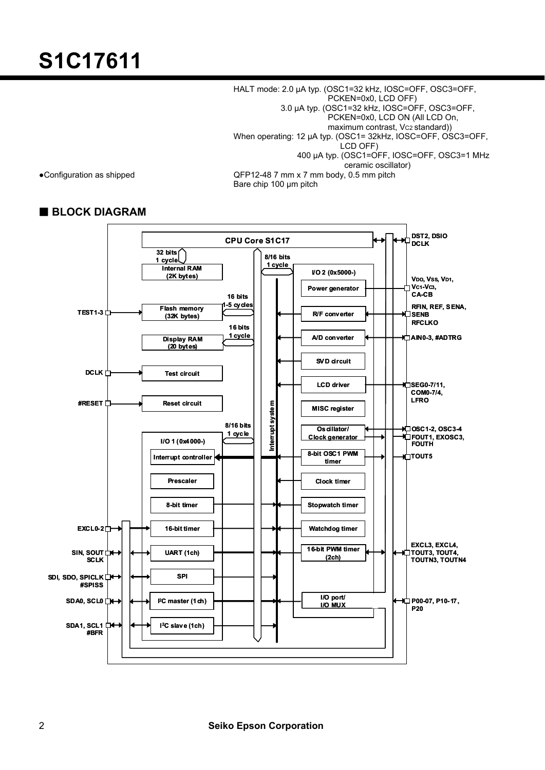HALT mode: 2.0 μA typ. (OSC1=32 kHz, IOSC=OFF, OSC3=OFF, PCKEN=0x0, LCD OFF) 3.0 μA typ. (OSC1=32 kHz, IOSC=OFF, OSC3=OFF, PCKEN=0x0, LCD ON (All LCD On, maximum contrast, Vc2 standard)) When operating: 12 μA typ. (OSC1= 32kHz, IOSC=OFF, OSC3=OFF, LCD OFF) 400 μA typ. (OSC1=OFF, IOSC=OFF, OSC3=1 MHz • Configuration as shipped Configuration as shipped Configuration as shipped Configuration as shipped CONFED 2-48 7 mm x 7 mm body, 0.5 mm pitch QFP12-48 7 mm x 7 mm body, 0.5 mm pitch Bare chip 100 μm pitch

## **BLOCK DIAGRAM**